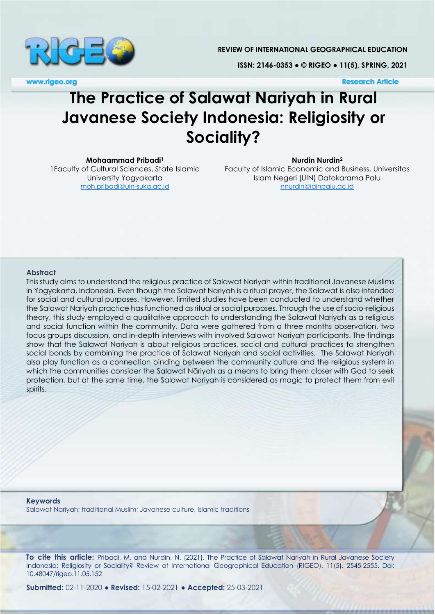

**REVIEW OF INTERNATIONAL GEOGRAPHICAL EDUCATION**

**ISSN: 2146-0353 ● © RIGEO ● 11(5), SPRING, 2021**

**www.rigeo.org Research Article**

# **The Practice of Salawat Nariyah in Rural Javanese Society Indonesia: Religiosity or Sociality?**

**Mohaammad Pribadi<sup>1</sup>**

1Faculty of Cultural Sciences, State Islamic University Yogyakarta [moh.pribadi@uin-suka.ac.id](mailto:moh.pribadi@uin-suka.ac.id)

**Nurdin Nurdin<sup>2</sup>**

Faculty of Islamic Economic and Business, Universitas Islam Negeri (UIN) Datokarama Palu [nnurdin@iainpalu.ac.id](mailto:nnurdin@iainpalu.ac.id)

#### **Abstract**

This study aims to understand the religious practice of Salawat Nariyah within traditional Javanese Muslims in Yogyakarta, Indonesia. Even though the Salawat Nariyah is a ritual prayer, the Salawat is also intended for social and cultural purposes. However, limited studies have been conducted to understand whether the Salawat Nariyah practice has functioned as ritual or social purposes. Through the use of socio-religious theory, this study employed a qualitative approach to understanding the Salawat Nariyah as a religious and social function within the community. Data were gathered from a three months observation, two focus groups discussion, and in-depth interviews with involved Salawat Nariyah participants. The findings show that the Salawat Nariyah is about religious practices, social and cultural practices to strengthen social bonds by combining the practice of Salawat Nariyah and social activities. The Salawat Nariyah also play function as a connection binding between the community culture and the religious system in which the communities consider the Salawat Nāriyah as a means to bring them closer with God to seek protection, but at the same time, the Salawat Nariyah is considered as magic to protect them from evil spirits.

**Keywords** Salawat Nariyah; traditional Muslim; Javanese culture, Islamic traditions

**To cite this article:** Pribadi, M, and Nurdin, N. (2021). The Practice of Salawat Nariyah in Rural Javanese Society Indonesia: Religiosity or Sociality? Review of International Geographical Education (RIGEO), 11(5), 2545-2555. Doi: 10.48047/rigeo.11.05.152

**Submitted:** 02-11-2020 **● Revised:** 15-02-2021 **● Accepted:** 25-03-2021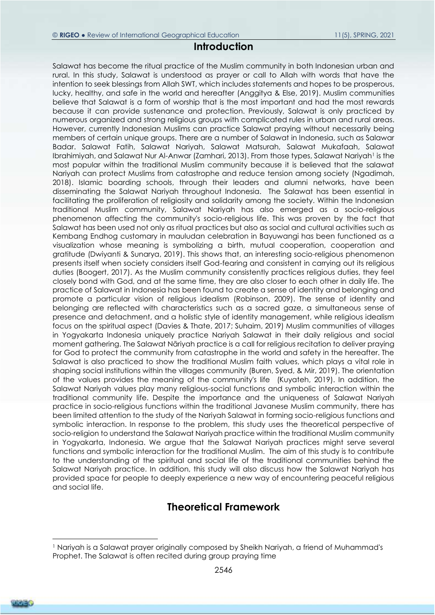### **Introduction**

Salawat has become the ritual practice of the Muslim community in both Indonesian urban and rural. In this study, Salawat is understood as prayer or call to Allah with words that have the intention to seek blessings from Allah SWT, which includes statements and hopes to be prosperous, lucky, healthy, and safe in the world and hereafter [\(Anggitya & Else, 2019\)](#page-8-0). Muslim communities believe that Salawat is a form of worship that is the most important and had the most rewards because it can provide sustenance and protection. Previously, Salawat is only practiced by numerous organized and strong religious groups with complicated rules in urban and rural areas. However, currently Indonesian Muslims can practice Salawat praying without necessarily being members of certain unique groups. There are a number of Salawat in Indonesia, such as Salawar Badar. Salawat Fatih, Salawat Nariyah, Salawat Matsurah, Salawat Mukafaah, Salawat Ibrahimiyah, and Salawat Nur Al-Anwar [\(Zamhari, 2013\)](#page-10-0). From those types, Salawat Nariyah<sup>1</sup> is the most popular within the traditional Muslim community because it is believed that the salawat Nariyah can protect Muslims from catastrophe and reduce tension among society [\(Ngadimah,](#page-9-0)  [2018\)](#page-9-0). Islamic boarding schools, through their leaders and alumni networks, have been disseminating the Salawat Nariyah throughout Indonesia. The Salawat has been essential in facilitating the proliferation of religiosity and solidarity among the society. Within the Indonesian traditional Muslim community, Salawat Nariyah has also emerged as a socio-religious phenomenon affecting the community's socio-religious life. This was proven by the fact that Salawat has been used not only as ritual practices but also as social and cultural activities such as Kembang Endhog customary in mauludan celebration in Bayuwangi has been functioned as a visualization whose meaning is symbolizing a birth, mutual cooperation, cooperation and gratitude [\(Dwiyanti & Sunarya, 2019\)](#page-8-1). This shows that, an interesting socio-religious phenomenon presents itself when society considers itself God-fearing and consistent in carrying out its religious duties [\(Boogert, 2017\)](#page-8-2). As the Muslim community consistently practices religious duties, they feel closely bond with God, and at the same time, they are also closer to each other in daily life. The practice of Salawat in Indonesia has been found to create a sense of identity and belonging and promote a particular vision of religious idealism [\(Robinson, 2009\)](#page-9-1). The sense of identity and belonging are reflected with characteristics such as a sacred gaze, a simultaneous sense of presence and detachment, and a holistic style of identity management, while religious idealism focus on the spiritual aspect [\(Davies & Thate, 2017;](#page-8-3) [Suhaim, 2019\)](#page-10-1) Muslim communities of villages in Yogyakarta Indonesia uniquely practice Nariyah Salawat in their daily religious and social moment gathering. The Salawat Nāriyah practice is a call for religious recitation to deliver praying for God to protect the community from catastrophe in the world and safety in the hereafter. The Salawat is also practiced to show the traditional Muslim faith values, which plays a vital role in shaping social institutions within the villages community [\(Buren, Syed, & Mir, 2019\)](#page-8-4). The orientation of the values provides the meaning of the community's life [\(Kuyateh, 2019\)](#page-9-2). In addition, the Salawat Nariyah values play many religious-social functions and symbolic interaction within the traditional community life. Despite the importance and the uniqueness of Salawat Nariyah practice in socio-religious functions within the traditional Javanese Muslim community, there has been limited attention to the study of the Nariyah Salawat in forming socio-religious functions and symbolic interaction. In response to the problem, this study uses the theoretical perspective of socio-religion to understand the Salawat Nariyah practice within the traditional Muslim community in Yogyakarta, Indonesia. We argue that the Salawat Nariyah practices might serve several functions and symbolic interaction for the traditional Muslim. The aim of this study is to contribute to the understanding of the spiritual and social life of the traditional communities behind the Salawat Nariyah practice. In addition, this study will also discuss how the Salawat Nariyah has provided space for people to deeply experience a new way of encountering peaceful religious and social life.

## **Theoretical Framework**

 $\overline{a}$ 

<sup>1</sup> Nariyah is a Salawat prayer originally composed by Sheikh Nariyah, a friend of Muhammad's Prophet. The Salawat is often recited during group praying time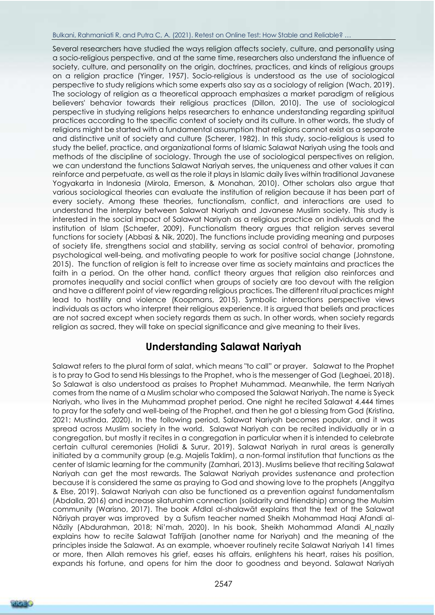#### Bulkani, Rahmaniati R, and Putra C, A. (2021). Retest on Online Test: How Stable and Reliable? …

Several researchers have studied the ways religion affects society, culture, and personality using a socio-religious perspective, and at the same time, researchers also understand the influence of society, culture, and personality on the origin, doctrines, practices, and kinds of religious groups on a religion practice [\(Yinger, 1957\)](#page-10-2). Socio-religious is understood as the use of sociological perspective to study religions which some experts also say as a sociology of religion [\(Wach, 2019\)](#page-10-3). The sociology of religion as a theoretical approach emphasizes a market paradigm of religious believers' behavior towards their religious practices [\(Dillon, 2010\)](#page-8-5). The use of sociological perspective in studying religions helps researchers to enhance understanding regarding spiritual practices according to the specific context of society and its culture. In other words, the study of religions might be started with a fundamental assumption that religions cannot exist as a separate and distinctive unit of society and culture [\(Scherer, 1982\)](#page-10-4). In this study, socio-religious is used to study the belief, practice, and organizational forms of Islamic Salawat Nariyah using the tools and methods of the discipline of sociology. Through the use of sociological perspectives on religion, we can understand the functions Salawat Nariyah serves, the uniqueness and other values it can reinforce and perpetuate, as well as the role it plays in Islamic daily lives within traditional Javanese Yogyakarta in Indonesia [\(Mirola, Emerson, & Monahan, 2010\)](#page-9-3). Other scholars also argue that various sociological theories can evaluate the institution of religion because it has been part of every society. Among these theories, functionalism, conflict, and interactions are used to understand the interplay between Salawat Nariyah and Javanese Muslim society. This study is interested in the social impact of Salawat Nariyah as a religious practice on individuals and the institution of Islam [\(Schaefer, 2009\)](#page-10-5). Functionalism theory argues that religion serves several functions for society [\(Abbasi & Nik, 2020\)](#page-7-0). The functions include providing meaning and purposes of society life, strengthens social and stability, serving as social control of behavior, promoting psychological well-being, and motivating people to work for positive social change [\(Johnstone,](#page-9-4)  [2015\)](#page-9-4). The function of religion is felt to increase over time as society maintains and practices the faith in a period. On the other hand, conflict theory argues that religion also reinforces and promotes inequality and social conflict when groups of society are too devout with the religion and have a different point of view regarding religious practices. The different ritual practices might lead to hostility and violence [\(Koopmans, 2015\)](#page-9-5). Symbolic interactions perspective views individuals as actors who interpret their religious experience. It is argued that beliefs and practices are not sacred except when society regards them as such. In other words, when society regards religion as sacred, they will take on special significance and give meaning to their lives.

## **Understanding Salawat Nariyah**

Salawat refers to the plural form of salat, which means "to call" or prayer. Salawat to the Prophet is to pray to God to send His blessings to the Prophet, who is the messenger of God [\(Leghaei, 2018\)](#page-9-6). So Salawat is also understood as praises to Prophet Muhammad. Meanwhile, the term Nariyah comes from the name of a Muslim scholar who composed the Salawat Nariyah. The name is Syeck Nariyah, who lives in the Muhammad prophet period. One night he recited Salawat 4.444 times to pray for the safety and well-being of the Prophet, and then he got a blessing from God [\(Kristina,](#page-9-7)  [2021;](#page-9-7) [Mustinda, 2020\)](#page-9-8). In the following period, Salawat Nariyah becomes popular, and it was spread across Muslim society in the world. Salawat Nariyah can be recited individually or in a congregation, but mostly it recites in a congregation in particular when it is intended to celebrate certain cultural ceremonies [\(Holidi & Surur, 2019\)](#page-8-6). Salawat Nariyah in rural areas is generally initiated by a community group (e.g. Majelis Taklim), a non-formal institution that functions as the center of Islamic learning for the community [\(Zamhari, 2013\)](#page-10-0). Muslims believe that reciting Salawat Nariyah can get the most rewards. The Salawat Nariyah provides sustenance and protection because it is considered the same as praying to God and showing love to the prophets [\(Anggitya](#page-8-0)  [& Else, 2019\)](#page-8-0). Salawat Nariyah can also be functioned as a prevention against fundamentalism [\(Abdalla, 2016\)](#page-8-7) and increase silaturahim connection (solidarity and friendship) among the Mulsim community [\(Warisno, 2017\)](#page-10-6). The book Afdlal al-shalawāt explains that the text of the Salawat Nāriyah prayer was improved by a Sufism teacher named Sheikh Mohammad Haqi Afandi al-Nāzily [\(Abdurahman, 2018;](#page-8-8) [Ni'mah, 2020](#page-9-9)). In his book, Sheikh Mohammad Afandi Al\_nazily explains how to recite Salawat Tafrījiah (another name for Nariyah) and the meaning of the principles inside the Salawat. As an example, whoever routinely recite Salawat Nariyah 141 times or more, then Allah removes his grief, eases his affairs, enlightens his heart, raises his position, expands his fortune, and opens for him the door to goodness and beyond. Salawat Nariyah

RIGER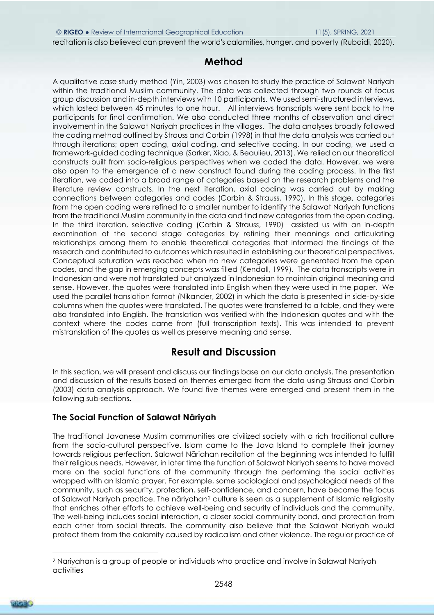recitation is also believed can prevent the world's calamities, hunger, and poverty [\(Rubaidi, 2020\)](#page-9-10).

## **Method**

A qualitative case study method [\(Yin, 2003\)](#page-10-7) was chosen to study the practice of Salawat Nariyah within the traditional Muslim community. The data was collected through two rounds of focus group discussion and in-depth interviews with 10 participants. We used semi-structured interviews, which lasted between 45 minutes to one hour. All interviews transcripts were sent back to the participants for final confirmation. We also conducted three months of observation and direct involvement in the Salawat Nariyah practices in the villages. The data analyses broadly followed the coding method outlined by Strauss and Corbin [\(1998\)](#page-10-8) in that the data analysis was carried out through iterations; open coding, axial coding, and selective coding. In our coding, we used a framework-guided coding technique [\(Sarker, Xiao, & Beaulieu, 2013\)](#page-10-9). We relied on our theoretical constructs built from socio-religious perspectives when we coded the data. However, we were also open to the emergence of a new construct found during the coding process. In the first iteration, we coded into a broad range of categories based on the research problems and the literature review constructs. In the next iteration, axial coding was carried out by making connections between categories and codes [\(Corbin & Strauss, 1990\)](#page-8-9). In this stage, categories from the open coding were refined to a smaller number to identify the Salawat Nariyah functions from the traditional Muslim community in the data and find new categories from the open coding. In the third iteration, selective coding [\(Corbin & Strauss, 1990\)](#page-8-9) assisted us with an in-depth examination of the second stage categories by refining their meanings and articulating relationships among them to enable theoretical categories that informed the findings of the research and contributed to outcomes which resulted in establishing our theoretical perspectives. Conceptual saturation was reached when no new categories were generated from the open codes, and the gap in emerging concepts was filled [\(Kendall, 1999\)](#page-9-11). The data transcripts were in Indonesian and were not translated but analyzed in Indonesian to maintain original meaning and sense. However, the quotes were translated into English when they were used in the paper. We used the parallel translation format [\(Nikander, 2002\)](#page-9-12) in which the data is presented in side-by-side columns when the quotes were translated. The quotes were transferred to a table, and they were also translated into English. The translation was verified with the Indonesian quotes and with the context where the codes came from (full transcription texts). This was intended to prevent mistranslation of the quotes as well as preserve meaning and sense.

## **Result and Discussion**

In this section, we will present and discuss our findings base on our data analysis. The presentation and discussion of the results based on themes emerged from the data using [Strauss and Corbin](#page-10-10)  (2003) data analysis approach. We found five themes were emerged and present them in the following sub-sections**.** 

### **The Social Function of Salawat Nāriyah**

The traditional Javanese Muslim communities are civilized society with a rich traditional culture from the socio-cultural perspective. Islam came to the Java Island to complete their journey towards religious perfection. Salawat Nāriahan recitation at the beginning was intended to fulfill their religious needs. However, in later time the function of Salawat Nariyah seems to have moved more on the social functions of the community through the performing the social activities wrapped with an Islamic prayer. For example, some sociological and psychological needs of the community, such as security, protection, self-confidence, and concern, have become the focus of Salawat Nariyah practice. The nāriyahan<sup>2</sup> culture is seen as a supplement of Islamic religiosity that enriches other efforts to achieve well-being and security of individuals and the community. The well-being includes social interaction, a closer social community bond, and protection from each other from social threats. The community also believe that the Salawat Nariyah would protect them from the calamity caused by radicalism and other violence. The regular practice of



 $\overline{a}$ 

<sup>2</sup> Nariyahan is a group of people or individuals who practice and involve in Salawat Nariyah activities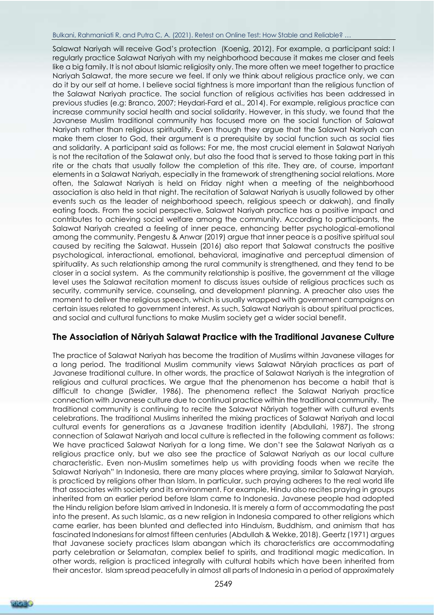#### Bulkani, Rahmaniati R, and Putra C, A. (2021). Retest on Online Test: How Stable and Reliable? …

Salawat Nariyah will receive God's protection [\(Koenig, 2012\)](#page-9-13). For example, a participant said: I regularly practice Salawat Nariyah with my neighborhood because it makes me closer and feels like a big family. It is not about Islamic religiosity only. The more often we meet together to practice Nariyah Salawat, the more secure we feel. If only we think about religious practice only, we can do it by our self at home. I believe social tightness is more important than the religious function of the Salawat Nariyah practice. The social function of religious activities has been addressed in previous studies (e.g: [Branco, 2007;](#page-8-10) [Heydari-Fard et al., 2014\)](#page-8-11). For example, religious practice can increase community social health and social solidarity. However, in this study, we found that the Javanese Muslim traditional community has focused more on the social function of Salawat Nariyah rather than religious spirituality. Even though they argue that the Salawat Nariyah can make them closer to God, their argument is a prerequisite by social function such as social ties and solidarity. A participant said as follows: For me, the most crucial element in Salawat Nariyah is not the recitation of the Salawat only, but also the food that is served to those taking part in this rite or the chats that usually follow the completion of this rite. They are, of course, important elements in a Salawat Nariyah, especially in the framework of strengthening social relations. More often, the Salawat Nariyah is held on Friday night when a meeting of the neighborhood association is also held in that night. The recitation of Salawat Nariyah is usually followed by other events such as the leader of neighborhood speech, religious speech or dakwah), and finally eating foods. From the social perspective, Salawat Nariyah practice has a positive impact and contributes to achieving social welfare among the community. According to participants, the Salawat Nariyah created a feeling of inner peace, enhancing better psychological-emotional among the community. Pengestu & Anwar [\(2019\)](#page-9-14) argue that inner peace is a positive spiritual soul caused by reciting the Salawat. Hussein [\(2016\)](#page-9-15) also report that Salawat constructs the positive psychological, interactional, emotional, behavioral, imaginative and perceptual dimension of spirituality. As such relationship among the rural community is strengthened, and they tend to be closer in a social system. As the community relationship is positive, the government at the village level uses the Salawat recitation moment to discuss issues outside of religious practices such as security, community service, counseling, and development planning. A preacher also uses the moment to deliver the religious speech, which is usually wrapped with government campaigns on certain issues related to government interest. As such, Salawat Nariyah is about spiritual practices, and social and cultural functions to make Muslim society get a wider social benefit.

### **The Association of Nāriyah Salawat Practice with the Traditional Javanese Culture**

The practice of Salawat Nariyah has become the tradition of Muslims within Javanese villages for a long period. The traditional Muslim community views Salawat Nāryiah practices as part of Javanese traditional culture. In other words, the practice of Salawat Nariyah is the integration of religious and cultural practices. We argue that the phenomenon has become a habit that is difficult to change [\(Swidler, 1986\)](#page-10-11). The phenomena reflect the Salawat Nariyah practice connection with Javanese culture due to continual practice within the traditional community. The traditional community is continuing to recite the Salawat Nâriyah together with cultural events celebrations. The traditional Muslims inherited the mixing practices of Salawat Nariyah and local cultural events for generations as a Javanese tradition identity [\(Abdullahi, 1987\)](#page-8-12). The strong connection of Salawat Nariyah and local culture is reflected in the following comment as follows: We have practiced Salawat Nariyah for a long time. We don't see the Salawat Nariyah as a religious practice only, but we also see the practice of Salawat Nariyah as our local culture characteristic. Even non-Muslim sometimes help us with providing foods when we recite the Salawat Nariyah" In Indonesia, there are many places where praying, similar to Salawat Naryiah, is practiced by religions other than Islam. In particular, such praying adheres to the real world life that associates with society and its environment. For example, Hindu also recites praying in groups inherited from an earlier period before Islam came to Indonesia. Javanese people had adopted the Hindu religion before Islam arrived in Indonesia. It is merely a form of accommodating the past into the present. As such Islamic, as a new religion in Indonesia compared to other religions which came earlier, has been blunted and deflected into Hinduism, Buddhism, and animism that has fascinated Indonesians for almost fifteen centuries [\(Abdullah & Wekke, 2018\)](#page-8-13). [Geertz \(1971\)](#page-8-14) argues that Javanese society practices Islam abangan which its characteristics are accommodating party celebration or Selamatan, complex belief to spirits, and traditional magic medication. In other words, religion is practiced integrally with cultural habits which have been inherited from their ancestor. Islam spread peacefully in almost all parts of Indonesia in a period of approximately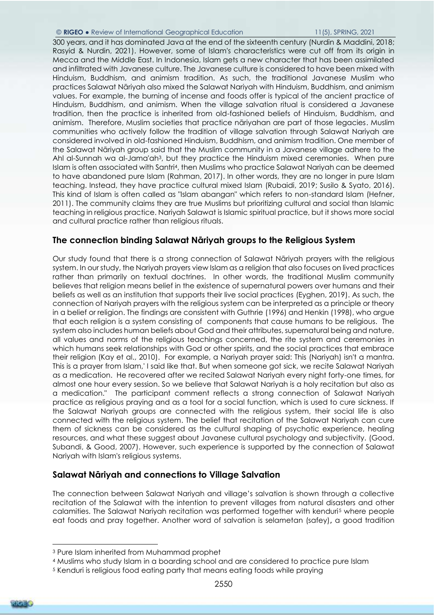#### © **RIGEO** ● Review of International Geographical Education 11(5), SPRING, 2021

300 years, and it has dominated Java at the end of the sixteenth century [\(Nurdin & Maddini, 2018;](#page-9-16) [Rasyid & Nurdin, 2021\)](#page-9-17). However, some of Islam's characteristics were cut off from its origin in Mecca and the Middle East. In Indonesia, Islam gets a new character that has been assimilated and infiltrated with Javanese culture. The Javanese culture is considered to have been mixed with Hinduism, Buddhism, and animism tradition. As such, the traditional Javanese Muslim who practices Salawat Nāriyah also mixed the Salawat Nariyah with Hinduism, Buddhism, and animism values. For example, the burning of incense and foods offer is typical of the ancient practice of Hinduism, Buddhism, and animism. When the village salvation ritual is considered a Javanese tradition, then the practice is inherited from old-fashioned beliefs of Hinduism, Buddhism, and animism. Therefore, Muslim societies that practice nāriyahan are part of those legacies. Muslim communities who actively follow the tradition of village salvation through Salawat Nariyah are considered involved in old-fashioned Hinduism, Buddhism, and animism tradition. One member of the Salawat Nāriyah group said that the Muslim community in a Javanese village adhere to the Ahl al-Sunnah wa al-Jama'ah3, but they practice the Hinduism mixed ceremonies. When pure Islam is often associated with Santri4, then Muslims who practice Salawat Nariyah can be deemed to have abandoned pure Islam [\(Rahman, 2017\)](#page-9-18). In other words, they are no longer in pure Islam teaching. Instead, they have practice cultural mixed Islam [\(Rubaidi, 2019;](#page-9-19) [Susilo & Syato, 2016\)](#page-10-12). This kind of Islam is often called as "Islam abangan" which refers to non-standard Islam [\(Hefner,](#page-8-15)  [2011\)](#page-8-15). The community claims they are true Muslims but prioritizing cultural and social than Islamic teaching in religious practice. Nariyah Salawat is Islamic spiritual practice, but it shows more social and cultural practice rather than religious rituals.

### **The connection binding Salawat Nāriyah groups to the Religious System**

Our study found that there is a strong connection of Salawat Nāriyah prayers with the religious system. In our study, the Nariyah prayers view Islam as a religion that also focuses on lived practices rather than primarily on textual doctrines. In other words, the traditional Muslim community believes that religion means belief in the existence of supernatural powers over humans and their beliefs as well as an institution that supports their live social practices [\(Eyghen, 2019\)](#page-8-16). As such, the connection of Nariyah prayers with the religious system can be interpreted as a principle or theory in a belief or religion. The findings are consistent with Guthrie [\(1996\)](#page-8-17) and Henkin [\(1998\)](#page-8-18), who argue that each religion is a system consisting of components that cause humans to be religious. The system also includes human beliefs about God and their attributes, supernatural being and nature, all values and norms of the religious teachings concerned, the rite system and ceremonies in which humans seek relationships with God or other spirits, and the social practices that embrace their religion [\(Kay et al., 2010\)](#page-9-20). For example, a Nariyah prayer said: This (Nariyah) isn't a mantra. This is a prayer from Islam,' I said like that. But when someone got sick, we recite Salawat Nariyah as a medication. He recovered after we recited Salawat Nariyah every night forty-one times, for almost one hour every session. So we believe that Salawat Nariyah is a holy recitation but also as a medication." The participant comment reflects a strong connection of Salawat Nariyah practice as religious praying and as a tool for a social function, which is used to cure sickness. If the Salawat Nariyah groups are connected with the religious system, their social life is also connected with the religious system. The belief that recitation of the Salawat Nariyah can cure them of sickness can be considered as the cultural shaping of psychotic experience, healing resources, and what these suggest about Javanese cultural psychology and subjectivity. [\(Good,](#page-8-19)  [Subandi, & Good, 2007\)](#page-8-19). However, such experience is supported by the connection of Salawat Nariyah with Islam's religious systems.

### **Salawat Nāriyah and connections to Village Salvation**

The connection between Salawat Nariyah and village's salvation is shown through a collective recitation of the Salawat with the intention to prevent villages from natural disasters and other calamities. The Salawat Nariyah recitation was performed together with kenduri<sup>5</sup> where people eat foods and pray together. Another word of salvation is selametan (safey)**,** a good tradition



-

<sup>3</sup> Pure Islam inherited from Muhammad prophet

<sup>4</sup> Muslims who study Islam in a boarding school and are considered to practice pure Islam

<sup>5</sup> Kenduri is religious food eating party that means eating foods while praying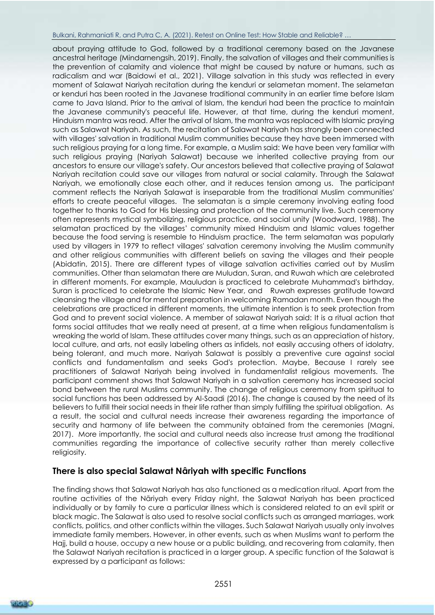#### Bulkani, Rahmaniati R, and Putra C, A. (2021). Retest on Online Test: How Stable and Reliable? …

about praying attitude to God, followed by a traditional ceremony based on the Javanese ancestral heritage [\(Mindarnengsih, 2019\)](#page-9-21). Finally, the salvation of villages and their communities is the prevention of calamity and violence that might be caused by nature or humans, such as radicalism and war [\(Baidowi et al., 2021\)](#page-8-20). Village salvation in this study was reflected in every moment of Salawat Nariyah recitation during the kenduri or selametan moment. The selametan or kenduri has been rooted in the Javanese traditional community in an earlier time before Islam came to Java Island. Prior to the arrival of Islam, the kenduri had been the practice to maintain the Javanese community's peaceful life. However, at that time, during the kenduri moment, Hinduism mantra was read. After the arrival of Islam, the mantra was replaced with Islamic praying such as Salawat Nariyah. As such, the recitation of Salawat Nariyah has strongly been connected with villages' salvation in traditional Muslim communities because they have been immersed with such religious praying for a long time. For example, a Muslim said: We have been very familiar with such religious praying (Nariyah Salawat) because we inherited collective praying from our ancestors to ensure our village's safety. Our ancestors believed that collective praying of Salawat Nariyah recitation could save our villages from natural or social calamity. Through the Salawat Nariyah, we emotionally close each other, and it reduces tension among us. The participant comment reflects the Nariyah Salawat is inseparable from the traditional Muslim communities' efforts to create peaceful villages. The selamatan is a simple ceremony involving eating food together to thanks to God for His blessing and protection of the community live. Such ceremony often represents mystical symbolizing, religious practice, and social unity [\(Woodward, 1988\)](#page-10-13). The selamatan practiced by the villages' community mixed Hinduism and Islamic values together because the food serving is resemble to Hinduism practice. The term selamatan was popularly used by villagers in 1979 to reflect villages' salvation ceremony involving the Muslim community and other religious communities with different beliefs on saving the villages and their people [\(Abidatin, 2015\)](#page-8-21). There are different types of village salvation activities carried out by Muslim communities. Other than selamatan there are Muludan, Suran, and Ruwah which are celebrated in different moments. For example, Mauludan is practiced to celebrate Muhammad's birthday, Suran is practiced to celebrate the Islamic New Year, and Ruwah expresses gratitude toward cleansing the village and for mental preparation in welcoming Ramadan month. Even though the celebrations are practiced in different moments, the ultimate intention is to seek protection from God and to prevent social violence. A member of salawat Nariyah said: It is a ritual action that forms social attitudes that we really need at present, at a time when religious fundamentalism is wreaking the world of Islam. These attitudes cover many things, such as an appreciation of history, local culture, and arts, not easily labeling others as infidels, not easily accusing others of idolatry, being tolerant, and much more. Nariyah Salawat is possibly a preventive cure against social conflicts and fundamentalism and seeks God's protection. Maybe, Because I rarely see practitioners of Salawat Nariyah being involved in fundamentalist religious movements. The participant comment shows that Salawat Nariyah in a salvation ceremony has increased social bond between the rural Muslims community. The change of religious ceremony from spiritual to social functions has been addressed by Al-Saadi [\(2016\)](#page-8-22). The change is caused by the need of its believers to fulfill their social needs in their life rather than simply fulfilling the spiritual obligation. As a result, the social and cultural needs increase their awareness regarding the importance of security and harmony of life between the community obtained from the ceremonies [\(Magni,](#page-9-22)  [2017\)](#page-9-22). More importantly, the social and cultural needs also increase trust among the traditional communities regarding the importance of collective security rather than merely collective religiosity.

### **There is also special Salawat Nâriyah with specific Functions**

The finding shows that Salawat Nariyah has also functioned as a medication ritual. Apart from the routine activities of the Nāriyah every Friday night, the Salawat Nariyah has been practiced individually or by family to cure a particular illness which is considered related to an evil spirit or black magic. The Salawat is also used to resolve social conflicts such as arranged marriages, work conflicts, politics, and other conflicts within the villages. Such Salawat Nariyah usually only involves immediate family members. However, in other events, such as when Muslims want to perform the Hajj, build a house, occupy a new house or a public building, and recovering from calamity, then the Salawat Nariyah recitation is practiced in a larger group. A specific function of the Salawat is expressed by a participant as follows:

2551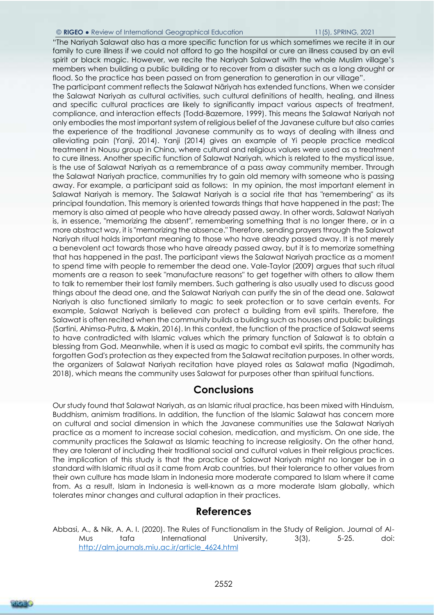#### © **RIGEO** ● Review of International Geographical Education 11(5), SPRING, 2021

"The Nariyah Salawat also has a more specific function for us which sometimes we recite it in our family to cure illness if we could not afford to go the hospital or cure an illness caused by an evil spirit or black magic. However, we recite the Nariyah Salawat with the whole Muslim village's members when building a public building or to recover from a disaster such as a long drought or flood. So the practice has been passed on from generation to generation in our village".

The participant comment reflects the Salawat Nāriyah has extended functions. When we consider the Salawat Nariyah as cultural activities, such cultural definitions of health, healing, and illness and specific cultural practices are likely to significantly impact various aspects of treatment, compliance, and interaction effects [\(Todd-Bazemore, 1999\)](#page-10-14). This means the Salawat Nariyah not only embodies the most important system of religious belief of the Javanese culture but also carries the experience of the traditional Javanese community as to ways of dealing with illness and alleviating pain [\(Yanji, 2014\)](#page-10-15). [Yanji \(2014\)](#page-10-15) gives an example of Yi people practice medical treatment in Nousu group in China, where cultural and religious values were used as a treatment to cure illness. Another specific function of Salawat Nariyah, which is related to the mystical issue, is the use of Salawat Nariyah as a remembrance of a pass away community member. Through the Salawat Nariyah practice, communities try to gain old memory with someone who is passing away. For example, a participant said as follows: In my opinion, the most important element in Salawat Nariyah is memory. The Salawat Nariyah is a social rite that has "remembering" as its principal foundation. This memory is oriented towards things that have happened in the past; The memory is also aimed at people who have already passed away. In other words, Salawat Nariyah is, in essence, "memorizing the absent", remembering something that is no longer there, or in a more abstract way, it is "memorizing the absence." Therefore, sending prayers through the Salawat Nariyah ritual holds important meaning to those who have already passed away. It is not merely a benevolent act towards those who have already passed away, but it is to memorize something that has happened in the past. The participant views the Salawat Nariyah practice as a moment to spend time with people to remember the dead one. Vale-Taylor [\(2009\)](#page-10-16) argues that such ritual moments are a reason to seek "manufacture reasons" to get together with others to allow them to talk to remember their lost family members. Such gathering is also usually used to discuss good things about the dead one, and the Salawat Nariyah can purify the sin of the dead one. Salawat Nariyah is also functioned similarly to magic to seek protection or to save certain events. For example, Salawat Nariyah is believed can protect a building from evil spirits. Therefore, the Salawat is often recited when the community builds a building such as houses and public buildings [\(Sartini, Ahimsa-Putra, & Makin, 2016\)](#page-10-17). In this context, the function of the practice of Salawat seems to have contradicted with Islamic values which the primary function of Salawat is to obtain a blessing from God. Meanwhile, when it is used as magic to combat evil spirits, the community has forgotten God's protection as they expected from the Salawat recitation purposes. In other words, the organizers of Salawat Nariyah recitation have played roles as Salawat mafia [\(Ngadimah,](#page-9-0)  [2018\)](#page-9-0), which means the community uses Salawat for purposes other than spiritual functions.

### **Conclusions**

Our study found that Salawat Nariyah, as an Islamic ritual practice, has been mixed with Hinduism, Buddhism, animism traditions. In addition, the function of the Islamic Salawat has concern more on cultural and social dimension in which the Javanese communities use the Salawat Nariyah practice as a moment to increase social cohesion, medication, and mysticism. On one side, the community practices the Salawat as Islamic teaching to increase religiosity. On the other hand, they are tolerant of including their traditional social and cultural values in their religious practices. The implication of this study is that the practice of Salawat Nariyah might no longer be in a standard with Islamic ritual as it came from Arab countries, but their tolerance to other values from their own culture has made Islam in Indonesia more moderate compared to Islam where it came from. As a result, Islam in Indonesia is well-known as a more moderate Islam globally, which tolerates minor changes and cultural adaption in their practices.

### **References**

<span id="page-7-0"></span>Abbasi, A., & Nik, A. A. I. (2020). The Rules of Functionalism in the Study of Religion. Journal of Al-Mus tafa International University, 3(3), 5-25. doi: [http://alm.journals.miu.ac.ir/article\\_4624.html](http://alm.journals.miu.ac.ir/article_4624.html)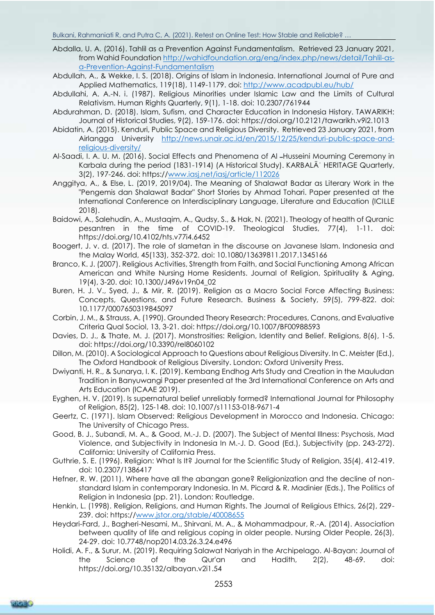- <span id="page-8-7"></span>Abdalla, U. A. (2016). Tahlil as a Prevention Against Fundamentalism. Retrieved 23 January 2021, from Wahid Foundation [http://wahidfoundation.org/eng/index.php/news/detail/Tahlil-as](http://wahidfoundation.org/eng/index.php/news/detail/Tahlil-as-a-Prevention-Against-Fundamentalism)[a-Prevention-Against-Fundamentalism](http://wahidfoundation.org/eng/index.php/news/detail/Tahlil-as-a-Prevention-Against-Fundamentalism)
- <span id="page-8-13"></span>Abdullah, A., & Wekke, I. S. (2018). Origins of Islam in Indonesia. International Journal of Pure and Applied Mathematics, 119(18), 1149-1179. doi:<http://www.acadpubl.eu/hub/>
- <span id="page-8-12"></span>Abdullahi, A. A.-N. i. (1987). Religious Minorities under Islamic Law and the Limits of Cultural Relativism. Human Rights Quarterly, 9(1), 1-18. doi: 10.2307/761944
- <span id="page-8-8"></span>Abdurahman, D. (2018). Islam, Sufism, and Character Education in Indonesia History. TAWARIKH: Journal of Historical Studies, 9(2), 159-176. doi: https://doi.org/10.2121/tawarikh.v9i2.1013
- <span id="page-8-21"></span>Abidatin, A. (2015). Kenduri, Public Space and Religious Diversity. Retrieved 23 January 2021, from Airlangga University [http://news.unair.ac.id/en/2015/12/25/kenduri-public-space-and](http://news.unair.ac.id/en/2015/12/25/kenduri-public-space-and-religious-diversity/)[religious-diversity/](http://news.unair.ac.id/en/2015/12/25/kenduri-public-space-and-religious-diversity/)
- <span id="page-8-22"></span>Al-Saadi, I. A. U. M. (2016). Social Effects and Phenomena of Al ــHusseini Mourning Ceremony in Karbala during the period (1831-1914) (A Historical Study). KARBALĀʾ HERITAGE Quarterly, 3(2), 197-246. doi: https:/[/www.iasj.net/iasj/article/112026](http://www.iasj.net/iasj/article/112026)
- <span id="page-8-0"></span>Anggitya, A., & Else, L. (2019, 2019/04). The Meaning of Shalawat Badar as Literary Work in the "Pengemis dan Shalawat Badar" Short Stories by Ahmad Tohari. Paper presented at the International Conference on Interdisciplinary Language, Literature and Education (ICILLE 2018).
- <span id="page-8-20"></span>Baidowi, A., Salehudin, A., Mustaqim, A., Qudsy, S., & Hak, N. (2021). Theology of health of Quranic pesantren in the time of COVID-19. Theological Studies, 77(4), 1-11. doi: https://doi.org/10.4102/hts.v77i4.6452
- <span id="page-8-2"></span>Boogert, J. v. d. (2017). The role of slametan in the discourse on Javanese Islam. Indonesia and the Malay World, 45(133), 352-372. doi: 10.1080/13639811.2017.1345166
- <span id="page-8-10"></span>Branco, K. J. (2007). Religious Activities, Strength from Faith, and Social Functioning Among African American and White Nursing Home Residents. Journal of Religion, Spirituality & Aging, 19(4), 3-20. doi: 10.1300/J496v19n04\_02
- <span id="page-8-4"></span>Buren, H. J. V., Syed, J., & Mir, R. (2019). Religion as a Macro Social Force Affecting Business: Concepts, Questions, and Future Research. Business & Society, 59(5), 799-822. doi: 10.1177/0007650319845097
- <span id="page-8-9"></span>Corbin, J. M., & Strauss, A. (1990). Grounded Theory Research: Procedures, Canons, and Evaluative Criteria Qual Sociol, 13, 3-21. doi: https://doi.org/10.1007/BF00988593
- <span id="page-8-3"></span>Davies, D. J., & Thate, M. J. (2017). Monstrosities: Religion, Identity and Belief. Religions, 8(6), 1-5. doi: https://doi.org/10.3390/rel8060102
- <span id="page-8-5"></span>Dillon, M. (2010). A Sociological Approach to Questions about Religious Diversity. In C. Meister (Ed.), The Oxford Handbook of Religious Diversity. London: Oxford University Press.
- <span id="page-8-1"></span>Dwiyanti, H. R., & Sunarya, I. K. (2019). Kembang Endhog Arts Study and Creation in the Mauludan Tradition in Banyuwangi Paper presented at the 3rd International Conference on Arts and Arts Education (ICAAE 2019).
- <span id="page-8-16"></span>Eyghen, H. V. (2019). Is supernatural belief unreliably formed? International Journal for Philosophy of Religion, 85(2), 125-148. doi: 10.1007/s11153-018-9671-4
- <span id="page-8-14"></span>Geertz, C. (1971). Islam Observed: Religious Development in Morocco and Indonesia. Chicago: The University of Chicago Press.
- <span id="page-8-19"></span>Good, B. J., Subandi, M. A., & Good, M.-J. D. (2007). The Subject of Mental Illness: Psychosis, Mad Violence, and Subjectivity in Indonesia In M.-J. D. Good (Ed.), Subjectivity (pp. 243-272). California: University of California Press.
- <span id="page-8-17"></span>Guthrie, S. E. (1996). Religion: What Is It? Journal for the Scientific Study of Religion, 35(4), 412-419. doi: 10.2307/1386417
- <span id="page-8-15"></span>Hefner, R. W. (2011). Where have all the abangan gone? Religionization and the decline of nonstandard Islam in contemporary Indonesia. In M. Picard & R. Madinier (Eds.), The Politics of Religion in Indonesia (pp. 21). London: Routledge.
- <span id="page-8-18"></span>Henkin, L. (1998). Religion, Religions, and Human Rights. The Journal of Religious Ethics, 26(2), 229- 239. doi: https:/[/www.jstor.org/stable/40008655](http://www.jstor.org/stable/40008655)
- <span id="page-8-11"></span>Heydari-Fard, J., Bagheri-Nesami, M., Shirvani, M. A., & Mohammadpour, R.-A. (2014). Association between quality of life and religious coping in older people. Nursing Older People, 26(3), 24-29. doi: 10.7748/nop2014.03.26.3.24.e496
- <span id="page-8-6"></span>Holidi, A. F., & Surur, M. (2019). Requiring Salawat Nariyah in the Archipelago. Al-Bayan: Journal of the Science of the Qur'an and Hadith, 2(2), 48-69. doi: https://doi.org/10.35132/albayan.v2i1.54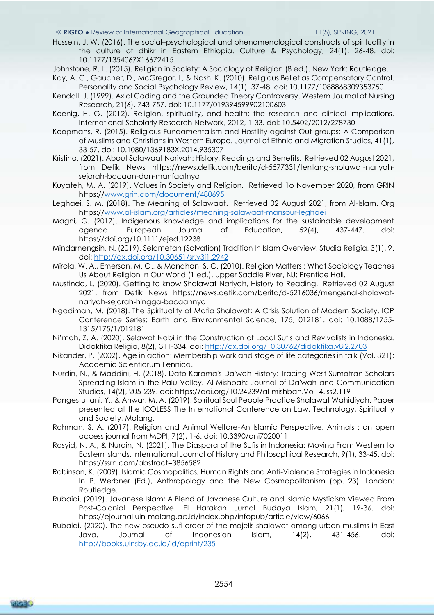#### © **RIGEO** ● Review of International Geographical Education 11(5), SPRING, 2021

<span id="page-9-15"></span>Hussein, J. W. (2016). The social–psychological and phenomenological constructs of spirituality in the culture of dhikr in Eastern Ethiopia. Culture & Psychology, 24(1), 26-48. doi: 10.1177/1354067X16672415

<span id="page-9-4"></span>Johnstone, R. L. (2015). Religion in Society: A Sociology of Religion (8 ed.). New York: Routledge.

<span id="page-9-20"></span>Kay, A. C., Gaucher, D., McGregor, I., & Nash, K. (2010). Religious Belief as Compensatory Control. Personality and Social Psychology Review, 14(1), 37-48. doi: 10.1177/1088868309353750

<span id="page-9-11"></span>Kendall, J. (1999). Axial Coding and the Grounded Theory Controversy. Western Journal of Nursing Research, 21(6), 743-757. doi: 10.1177/019394599902100603

<span id="page-9-13"></span>Koenig, H. G. (2012). Religion, spirituality, and health: the research and clinical implications. International Scholarly Research Network, 2012, 1-33. doi: 10.5402/2012/278730

<span id="page-9-5"></span>Koopmans, R. (2015). Religious Fundamentalism and Hostility against Out-groups: A Comparison of Muslims and Christians in Western Europe. Journal of Ethnic and Migration Studies, 41(1), 33-57. doi: 10.1080/1369183X.2014.935307

<span id="page-9-7"></span>Kristina. (2021). About Salawaat Nariyah: History, Readings and Benefits. Retrieved 02 August 2021, from Detik News https://news.detik.com/berita/d-5577331/tentang-sholawat-nariyahsejarah-bacaan-dan-manfaatnya

<span id="page-9-2"></span>Kuyateh, M. A. (2019). Values in Society and Religion. Retrieved 1o November 2020, from GRIN https:/[/www.grin.com/document/480695](http://www.grin.com/document/480695)

<span id="page-9-6"></span>Leghaei, S. M. (2018). The Meaning of Salawaat. Retrieved 02 August 2021, from Al-Islam. Org https:/[/www.al-islam.org/articles/meaning-salawaat-mansour-leghaei](http://www.al-islam.org/articles/meaning-salawaat-mansour-leghaei)

<span id="page-9-22"></span>Magni, G. (2017). Indigenous knowledge and implications for the sustainable development agenda. European Journal of Education, 52(4), 437-447. doi: https://doi.org/10.1111/ejed.12238

<span id="page-9-21"></span>Mindarnengsih, N. (2019). Selametan (Salvation) Tradition In Islam Overview. Studia Religia, 3(1), 9. doi:<http://dx.doi.org/10.30651/sr.v3i1.2942>

<span id="page-9-3"></span>Mirola, W. A., Emerson, M. O., & Monahan, S. C. (2010). Religion Matters : What Sociology Teaches Us About Religion In Our World (1 ed.). Upper Saddle River, NJ: Prentice Hall.

<span id="page-9-8"></span>Mustinda, L. (2020). Getting to know Shalawat Nariyah, History to Reading. Retrieved 02 August 2021, from Detik News https://news.detik.com/berita/d-5216036/mengenal-sholawatnariyah-sejarah-hingga-bacaannya

<span id="page-9-0"></span>Ngadimah, M. (2018). The Spirituality of Mafia Shalawat; A Crisis Solution of Modern Society. IOP Conference Series: Earth and Environmental Science, 175, 012181. doi: 10.1088/1755- 1315/175/1/012181

<span id="page-9-9"></span>Ni'mah, Z. A. (2020). Selawat Nabi in the Construction of Local Sufis and Revivalists in Indonesia. Didaktika Religia, 8(2), 311-334. doi:<http://dx.doi.org/10.30762/didaktika.v8i2.2703>

<span id="page-9-12"></span>Nikander, P. (2002). Age in action: Membership work and stage of life categories in talk (Vol. 321): Academia Scientiarum Fennica.

<span id="page-9-16"></span>Nurdin, N., & Maddini, H. (2018). Dato Karama's Da'wah History: Tracing West Sumatran Scholars Spreading Islam in the Palu Valley. Al-Mishbah: Journal of Da'wah and Communication Studies, 14(2), 205-239. doi: https://doi.org/10.24239/al-mishbah.Vol14.Iss2.119

<span id="page-9-14"></span>Pangestutiani, Y., & Anwar, M. A. (2019). Spiritual Soul People Practice Shalawat Wahidiyah. Paper presented at the ICOLESS The International Conference on Law, Technology, Spirituality and Society, Malang.

<span id="page-9-18"></span>Rahman, S. A. (2017). Religion and Animal Welfare-An Islamic Perspective. Animals : an open access journal from MDPI, 7(2), 1-6. doi: 10.3390/ani7020011

<span id="page-9-17"></span>Rasyid, N. A., & Nurdin, N. (2021). The Diaspora of the Sufis in Indonesia: Moving From Western to Eastern Islands. International Journal of History and Philosophical Research, 9(1), 33-45. doi: https://ssrn.com/abstract=3856582

<span id="page-9-1"></span>Robinson, K. (2009). Islamic Cosmopolitics, Human Rights and Anti-Violence Strategies in Indonesia In P. Werbner (Ed.), Anthropology and the New Cosmopolitanism (pp. 23). London: Routledge.

<span id="page-9-19"></span>Rubaidi. (2019). Javanese Islam; A Blend of Javanese Culture and Islamic Mysticism Viewed From Post-Colonial Perspective. El Harakah Jurnal Budaya Islam, 21(1), 19-36. doi: https://ejournal.uin-malang.ac.id/index.php/infopub/article/view/6066

<span id="page-9-10"></span>Rubaidi. (2020). The new pseudo-sufi order of the majelis shalawat among urban muslims in East Java. Journal of Indonesian Islam, 14(2), 431-456. doi: <http://books.uinsby.ac.id/id/eprint/235>

RIGE